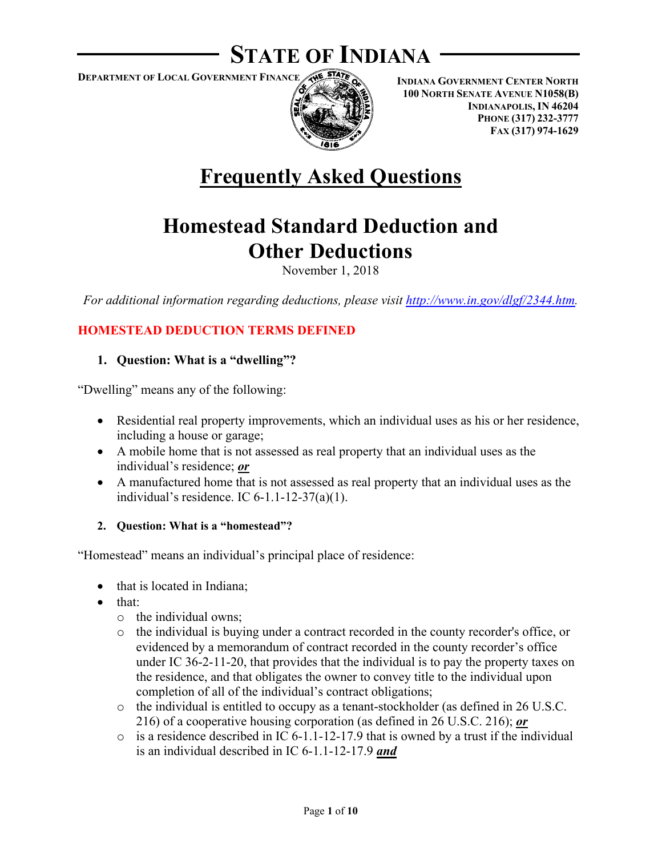## **STATE OF INDIANA**

**DEPARTMENT OF LOCAL GOVERNMENT FINANCE**



**INDIANA GOVERNMENT CENTER NORTH 100 NORTH SENATE AVENUE N1058(B) INDIANAPOLIS, IN 46204 PHONE (317) 232-3777 FAX (317) 974-1629**

# **Frequently Asked Questions**

## **Homestead Standard Deduction and Other Deductions**

November 1, 2018

*For additional information regarding deductions, please visit [http://www.in.gov/dlgf/2344.htm.](http://www.in.gov/dlgf/2344.htm)* 

## **HOMESTEAD DEDUCTION TERMS DEFINED**

## **1. Question: What is a "dwelling"?**

"Dwelling" means any of the following:

- Residential real property improvements, which an individual uses as his or her residence, including a house or garage;
- A mobile home that is not assessed as real property that an individual uses as the individual's residence; *or*
- A manufactured home that is not assessed as real property that an individual uses as the individual's residence. IC 6-1.1-12-37(a)(1).

#### **2. Question: What is a "homestead"?**

"Homestead" means an individual's principal place of residence:

- that is located in Indiana;
- that:
	- o the individual owns;
	- o the individual is buying under a contract recorded in the county recorder's office, or evidenced by a memorandum of contract recorded in the county recorder's office under IC 36-2-11-20, that provides that the individual is to pay the property taxes on the residence, and that obligates the owner to convey title to the individual upon completion of all of the individual's contract obligations;
	- $\circ$  the individual is entitled to occupy as a tenant-stockholder (as defined in 26 U.S.C. [216\)](https://web2.westlaw.com/find/default.wl?vc=0&ordoc=2228659&rp=%2ffind%2fdefault.wl&DB=1000546&DocName=26USCAS216&FindType=L&AP=&fn=_top&rs=WLW8.08&mt=Indiana&vr=2.0&sv=Split) of a cooperative housing corporation (as defined in [26 U.S.C. 216\)](https://web2.westlaw.com/find/default.wl?vc=0&ordoc=2228659&rp=%2ffind%2fdefault.wl&DB=1000546&DocName=26USCAS216&FindType=L&AP=&fn=_top&rs=WLW8.08&mt=Indiana&vr=2.0&sv=Split); *or*
	- $\circ$  is a residence described in IC 6-1.1-12-17.9 that is owned by a trust if the individual is an individual described in IC 6-1.1-12-17.9 *and*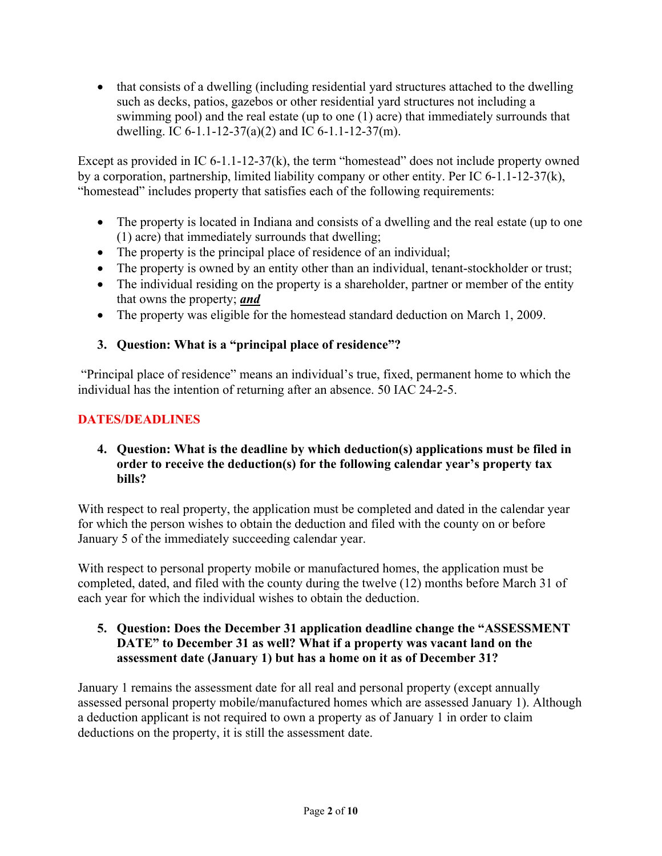• that consists of a dwelling (including residential yard structures attached to the dwelling such as decks, patios, gazebos or other residential yard structures not including a swimming pool) and the real estate (up to one (1) acre) that immediately surrounds that dwelling. IC 6-1.1-12-37(a)(2) and IC 6-1.1-12-37(m).

Except as provided in IC 6-1.1-12-37(k), the term "homestead" does not include property owned by a corporation, partnership, limited liability company or other entity. Per IC 6-1.1-12-37(k), "homestead" includes property that satisfies each of the following requirements:

- The property is located in Indiana and consists of a dwelling and the real estate (up to one (1) acre) that immediately surrounds that dwelling;
- The property is the principal place of residence of an individual;
- The property is owned by an entity other than an individual, tenant-stockholder or trust;
- The individual residing on the property is a shareholder, partner or member of the entity that owns the property; *and*
- The property was eligible for the homestead standard deduction on March 1, 2009.

## **3. Question: What is a "principal place of residence"?**

"Principal place of residence" means an individual's true, fixed, permanent home to which the individual has the intention of returning after an absence. 50 IAC 24-2-5.

## **DATES/DEADLINES**

#### **4. Question: What is the deadline by which deduction(s) applications must be filed in order to receive the deduction(s) for the following calendar year's property tax bills?**

With respect to real property, the application must be completed and dated in the calendar year for which the person wishes to obtain the deduction and filed with the county on or before January 5 of the immediately succeeding calendar year.

With respect to personal property mobile or manufactured homes, the application must be completed, dated, and filed with the county during the twelve (12) months before March 31 of each year for which the individual wishes to obtain the deduction.

## **5. Question: Does the December 31 application deadline change the "ASSESSMENT DATE" to December 31 as well? What if a property was vacant land on the assessment date (January 1) but has a home on it as of December 31?**

January 1 remains the assessment date for all real and personal property (except annually assessed personal property mobile/manufactured homes which are assessed January 1). Although a deduction applicant is not required to own a property as of January 1 in order to claim deductions on the property, it is still the assessment date.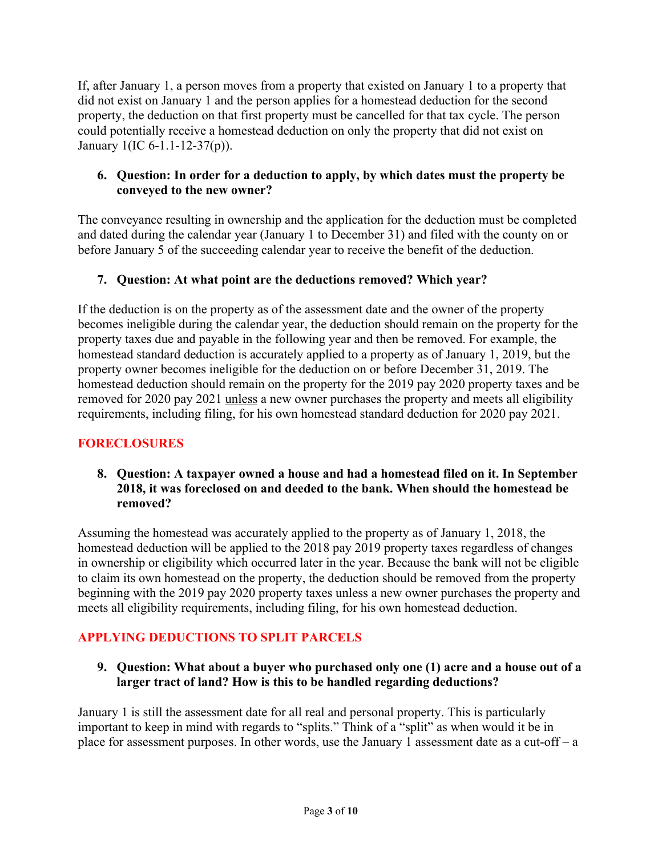If, after January 1, a person moves from a property that existed on January 1 to a property that did not exist on January 1 and the person applies for a homestead deduction for the second property, the deduction on that first property must be cancelled for that tax cycle. The person could potentially receive a homestead deduction on only the property that did not exist on January 1(IC 6-1.1-12-37(p)).

## **6. Question: In order for a deduction to apply, by which dates must the property be conveyed to the new owner?**

The conveyance resulting in ownership and the application for the deduction must be completed and dated during the calendar year (January 1 to December 31) and filed with the county on or before January 5 of the succeeding calendar year to receive the benefit of the deduction.

## **7. Question: At what point are the deductions removed? Which year?**

If the deduction is on the property as of the assessment date and the owner of the property becomes ineligible during the calendar year, the deduction should remain on the property for the property taxes due and payable in the following year and then be removed. For example, the homestead standard deduction is accurately applied to a property as of January 1, 2019, but the property owner becomes ineligible for the deduction on or before December 31, 2019. The homestead deduction should remain on the property for the 2019 pay 2020 property taxes and be removed for 2020 pay 2021 unless a new owner purchases the property and meets all eligibility requirements, including filing, for his own homestead standard deduction for 2020 pay 2021.

## **FORECLOSURES**

#### **8. Question: A taxpayer owned a house and had a homestead filed on it. In September 2018, it was foreclosed on and deeded to the bank. When should the homestead be removed?**

Assuming the homestead was accurately applied to the property as of January 1, 2018, the homestead deduction will be applied to the 2018 pay 2019 property taxes regardless of changes in ownership or eligibility which occurred later in the year. Because the bank will not be eligible to claim its own homestead on the property, the deduction should be removed from the property beginning with the 2019 pay 2020 property taxes unless a new owner purchases the property and meets all eligibility requirements, including filing, for his own homestead deduction.

## **APPLYING DEDUCTIONS TO SPLIT PARCELS**

## **9. Question: What about a buyer who purchased only one (1) acre and a house out of a larger tract of land? How is this to be handled regarding deductions?**

January 1 is still the assessment date for all real and personal property. This is particularly important to keep in mind with regards to "splits." Think of a "split" as when would it be in place for assessment purposes. In other words, use the January 1 assessment date as a cut-off – a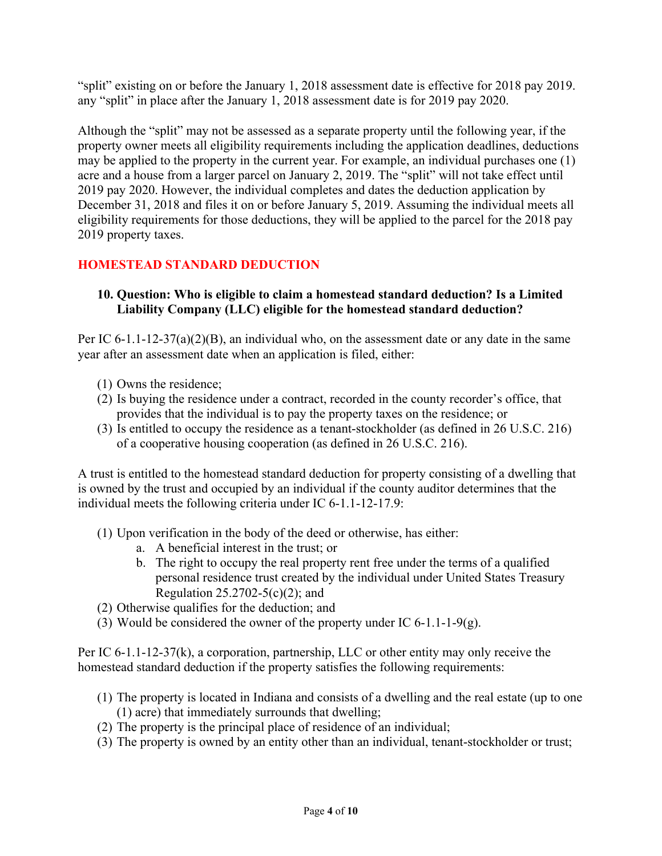"split" existing on or before the January 1, 2018 assessment date is effective for 2018 pay 2019. any "split" in place after the January 1, 2018 assessment date is for 2019 pay 2020.

Although the "split" may not be assessed as a separate property until the following year, if the property owner meets all eligibility requirements including the application deadlines, deductions may be applied to the property in the current year. For example, an individual purchases one (1) acre and a house from a larger parcel on January 2, 2019. The "split" will not take effect until 2019 pay 2020. However, the individual completes and dates the deduction application by December 31, 2018 and files it on or before January 5, 2019. Assuming the individual meets all eligibility requirements for those deductions, they will be applied to the parcel for the 2018 pay 2019 property taxes.

## **HOMESTEAD STANDARD DEDUCTION**

#### **10. Question: Who is eligible to claim a homestead standard deduction? Is a Limited Liability Company (LLC) eligible for the homestead standard deduction?**

Per IC  $6-1.1-12-37(a)(2)(B)$ , an individual who, on the assessment date or any date in the same year after an assessment date when an application is filed, either:

- (1) Owns the residence;
- (2) Is buying the residence under a contract, recorded in the county recorder's office, that provides that the individual is to pay the property taxes on the residence; or
- (3) Is entitled to occupy the residence as a tenant-stockholder (as defined in 26 U.S.C. 216) of a cooperative housing cooperation (as defined in 26 U.S.C. 216).

A trust is entitled to the homestead standard deduction for property consisting of a dwelling that is owned by the trust and occupied by an individual if the county auditor determines that the individual meets the following criteria under IC 6-1.1-12-17.9:

- (1) Upon verification in the body of the deed or otherwise, has either:
	- a. A beneficial interest in the trust; or
	- b. The right to occupy the real property rent free under the terms of a qualified personal residence trust created by the individual under United States Treasury Regulation  $25.2702 - 5(c)(2)$ ; and
- (2) Otherwise qualifies for the deduction; and
- (3) Would be considered the owner of the property under IC 6-1.1-1-9(g).

Per IC 6-1.1-12-37(k), a corporation, partnership, LLC or other entity may only receive the homestead standard deduction if the property satisfies the following requirements:

- (1) The property is located in Indiana and consists of a dwelling and the real estate (up to one (1) acre) that immediately surrounds that dwelling;
- (2) The property is the principal place of residence of an individual;
- (3) The property is owned by an entity other than an individual, tenant-stockholder or trust;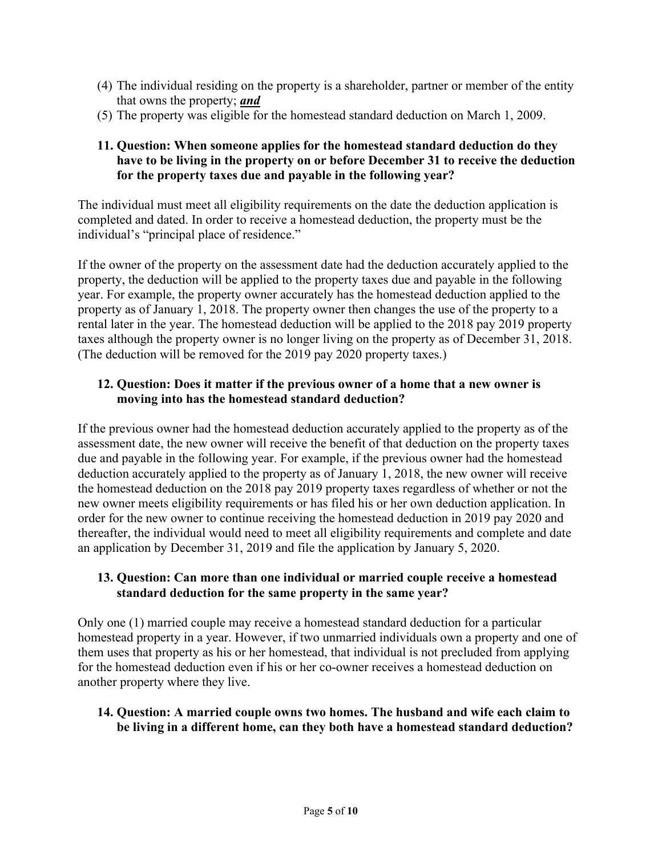- (4) The individual residing on the property is a shareholder, partner or member of the entity that owns the property; *and*
- (5) The property was eligible for the homestead standard deduction on March 1, 2009.

#### **11. Question: When someone applies for the homestead standard deduction do they have to be living in the property on or before December 31 to receive the deduction for the property taxes due and payable in the following year?**

The individual must meet all eligibility requirements on the date the deduction application is completed and dated. In order to receive a homestead deduction, the property must be the individual's "principal place of residence."

If the owner of the property on the assessment date had the deduction accurately applied to the property, the deduction will be applied to the property taxes due and payable in the following year. For example, the property owner accurately has the homestead deduction applied to the property as of January 1, 2018. The property owner then changes the use of the property to a rental later in the year. The homestead deduction will be applied to the 2018 pay 2019 property taxes although the property owner is no longer living on the property as of December 31, 2018. (The deduction will be removed for the 2019 pay 2020 property taxes.)

#### **12. Question: Does it matter if the previous owner of a home that a new owner is moving into has the homestead standard deduction?**

If the previous owner had the homestead deduction accurately applied to the property as of the assessment date, the new owner will receive the benefit of that deduction on the property taxes due and payable in the following year. For example, if the previous owner had the homestead deduction accurately applied to the property as of January 1, 2018, the new owner will receive the homestead deduction on the 2018 pay 2019 property taxes regardless of whether or not the new owner meets eligibility requirements or has filed his or her own deduction application. In order for the new owner to continue receiving the homestead deduction in 2019 pay 2020 and thereafter, the individual would need to meet all eligibility requirements and complete and date an application by December 31, 2019 and file the application by January 5, 2020.

#### **13. Question: Can more than one individual or married couple receive a homestead standard deduction for the same property in the same year?**

Only one (1) married couple may receive a homestead standard deduction for a particular homestead property in a year. However, if two unmarried individuals own a property and one of them uses that property as his or her homestead, that individual is not precluded from applying for the homestead deduction even if his or her co-owner receives a homestead deduction on another property where they live.

#### **14. Question: A married couple owns two homes. The husband and wife each claim to be living in a different home, can they both have a homestead standard deduction?**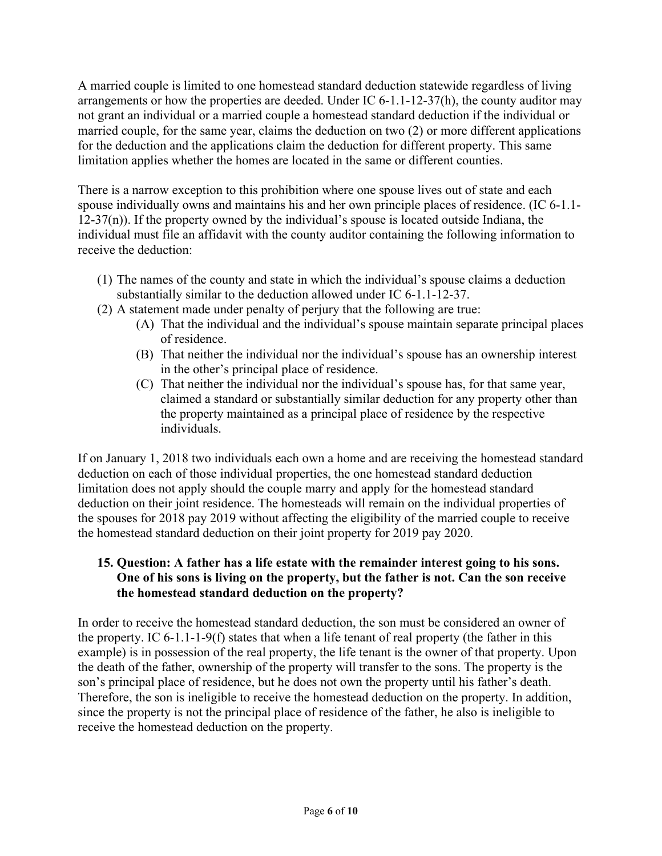A married couple is limited to one homestead standard deduction statewide regardless of living arrangements or how the properties are deeded. Under IC 6-1.1-12-37(h), the county auditor may not grant an individual or a married couple a homestead standard deduction if the individual or married couple, for the same year, claims the deduction on two (2) or more different applications for the deduction and the applications claim the deduction for different property. This same limitation applies whether the homes are located in the same or different counties.

There is a narrow exception to this prohibition where one spouse lives out of state and each spouse individually owns and maintains his and her own principle places of residence. (IC 6-1.1-  $12-37(n)$ ). If the property owned by the individual's spouse is located outside Indiana, the individual must file an affidavit with the county auditor containing the following information to receive the deduction:

- (1) The names of the county and state in which the individual's spouse claims a deduction substantially similar to the deduction allowed under IC 6-1.1-12-37.
- (2) A statement made under penalty of perjury that the following are true:
	- (A) That the individual and the individual's spouse maintain separate principal places of residence.
	- (B) That neither the individual nor the individual's spouse has an ownership interest in the other's principal place of residence.
	- (C) That neither the individual nor the individual's spouse has, for that same year, claimed a standard or substantially similar deduction for any property other than the property maintained as a principal place of residence by the respective individuals.

If on January 1, 2018 two individuals each own a home and are receiving the homestead standard deduction on each of those individual properties, the one homestead standard deduction limitation does not apply should the couple marry and apply for the homestead standard deduction on their joint residence. The homesteads will remain on the individual properties of the spouses for 2018 pay 2019 without affecting the eligibility of the married couple to receive the homestead standard deduction on their joint property for 2019 pay 2020.

## **15. Question: A father has a life estate with the remainder interest going to his sons. One of his sons is living on the property, but the father is not. Can the son receive the homestead standard deduction on the property?**

In order to receive the homestead standard deduction, the son must be considered an owner of the property. IC 6-1.1-1-9(f) states that when a life tenant of real property (the father in this example) is in possession of the real property, the life tenant is the owner of that property. Upon the death of the father, ownership of the property will transfer to the sons. The property is the son's principal place of residence, but he does not own the property until his father's death. Therefore, the son is ineligible to receive the homestead deduction on the property. In addition, since the property is not the principal place of residence of the father, he also is ineligible to receive the homestead deduction on the property.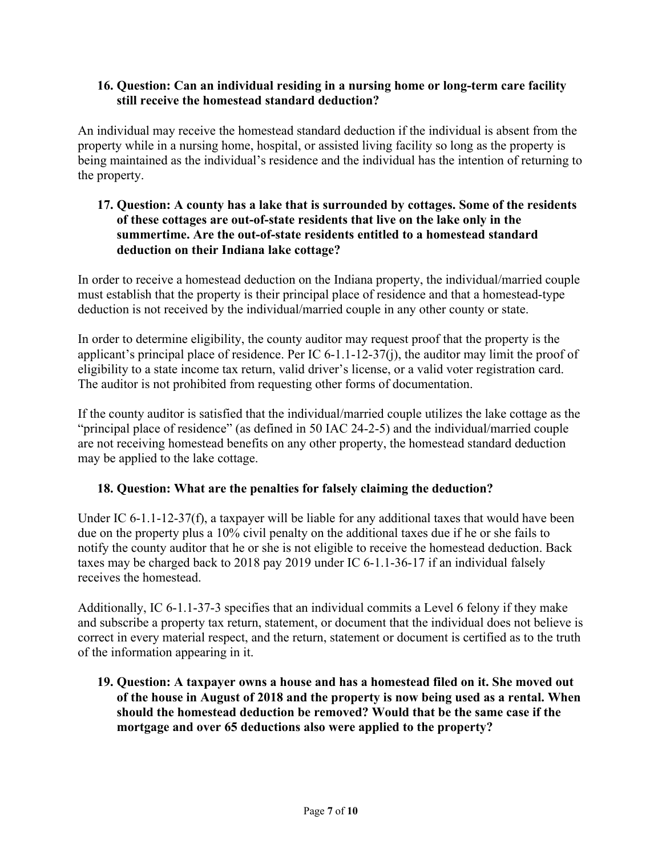#### **16. Question: Can an individual residing in a nursing home or long-term care facility still receive the homestead standard deduction?**

An individual may receive the homestead standard deduction if the individual is absent from the property while in a nursing home, hospital, or assisted living facility so long as the property is being maintained as the individual's residence and the individual has the intention of returning to the property.

#### **17. Question: A county has a lake that is surrounded by cottages. Some of the residents of these cottages are out-of-state residents that live on the lake only in the summertime. Are the out-of-state residents entitled to a homestead standard deduction on their Indiana lake cottage?**

In order to receive a homestead deduction on the Indiana property, the individual/married couple must establish that the property is their principal place of residence and that a homestead-type deduction is not received by the individual/married couple in any other county or state.

In order to determine eligibility, the county auditor may request proof that the property is the applicant's principal place of residence. Per IC 6-1.1-12-37(j), the auditor may limit the proof of eligibility to a state income tax return, valid driver's license, or a valid voter registration card. The auditor is not prohibited from requesting other forms of documentation.

If the county auditor is satisfied that the individual/married couple utilizes the lake cottage as the "principal place of residence" (as defined in 50 IAC 24-2-5) and the individual/married couple are not receiving homestead benefits on any other property, the homestead standard deduction may be applied to the lake cottage.

#### **18. Question: What are the penalties for falsely claiming the deduction?**

Under IC 6-1.1-12-37(f), a taxpayer will be liable for any additional taxes that would have been due on the property plus a 10% civil penalty on the additional taxes due if he or she fails to notify the county auditor that he or she is not eligible to receive the homestead deduction. Back taxes may be charged back to 2018 pay 2019 under IC 6-1.1-36-17 if an individual falsely receives the homestead.

Additionally, IC 6-1.1-37-3 specifies that an individual commits a Level 6 felony if they make and subscribe a property tax return, statement, or document that the individual does not believe is correct in every material respect, and the return, statement or document is certified as to the truth of the information appearing in it.

**19. Question: A taxpayer owns a house and has a homestead filed on it. She moved out of the house in August of 2018 and the property is now being used as a rental. When should the homestead deduction be removed? Would that be the same case if the mortgage and over 65 deductions also were applied to the property?**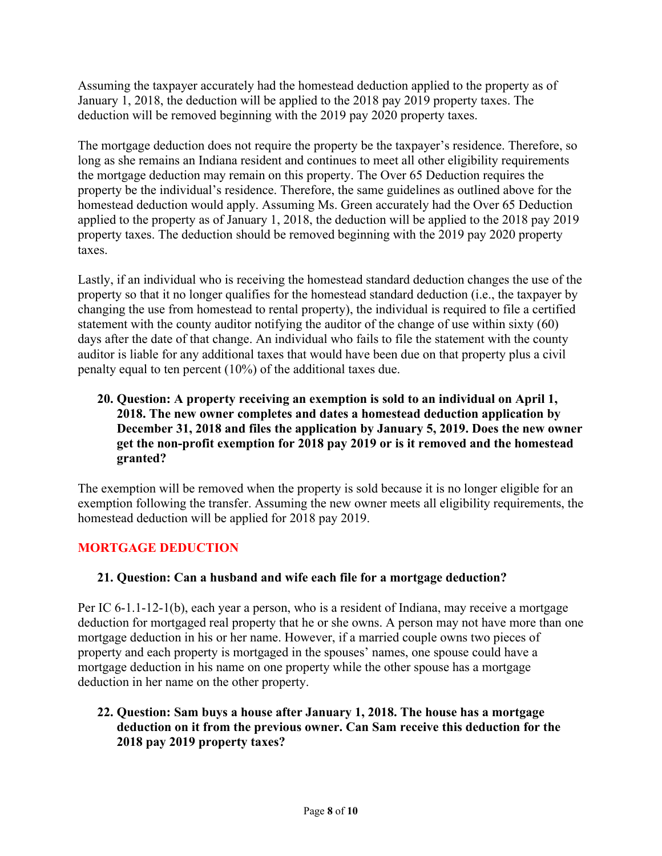Assuming the taxpayer accurately had the homestead deduction applied to the property as of January 1, 2018, the deduction will be applied to the 2018 pay 2019 property taxes. The deduction will be removed beginning with the 2019 pay 2020 property taxes.

The mortgage deduction does not require the property be the taxpayer's residence. Therefore, so long as she remains an Indiana resident and continues to meet all other eligibility requirements the mortgage deduction may remain on this property. The Over 65 Deduction requires the property be the individual's residence. Therefore, the same guidelines as outlined above for the homestead deduction would apply. Assuming Ms. Green accurately had the Over 65 Deduction applied to the property as of January 1, 2018, the deduction will be applied to the 2018 pay 2019 property taxes. The deduction should be removed beginning with the 2019 pay 2020 property taxes.

Lastly, if an individual who is receiving the homestead standard deduction changes the use of the property so that it no longer qualifies for the homestead standard deduction (i.e., the taxpayer by changing the use from homestead to rental property), the individual is required to file a certified statement with the county auditor notifying the auditor of the change of use within sixty (60) days after the date of that change. An individual who fails to file the statement with the county auditor is liable for any additional taxes that would have been due on that property plus a civil penalty equal to ten percent (10%) of the additional taxes due.

## **20. Question: A property receiving an exemption is sold to an individual on April 1, 2018. The new owner completes and dates a homestead deduction application by December 31, 2018 and files the application by January 5, 2019. Does the new owner get the non-profit exemption for 2018 pay 2019 or is it removed and the homestead granted?**

The exemption will be removed when the property is sold because it is no longer eligible for an exemption following the transfer. Assuming the new owner meets all eligibility requirements, the homestead deduction will be applied for 2018 pay 2019.

## **MORTGAGE DEDUCTION**

#### **21. Question: Can a husband and wife each file for a mortgage deduction?**

Per IC 6-1.1-12-1(b), each year a person, who is a resident of Indiana, may receive a mortgage deduction for mortgaged real property that he or she owns. A person may not have more than one mortgage deduction in his or her name. However, if a married couple owns two pieces of property and each property is mortgaged in the spouses' names, one spouse could have a mortgage deduction in his name on one property while the other spouse has a mortgage deduction in her name on the other property.

#### **22. Question: Sam buys a house after January 1, 2018. The house has a mortgage deduction on it from the previous owner. Can Sam receive this deduction for the 2018 pay 2019 property taxes?**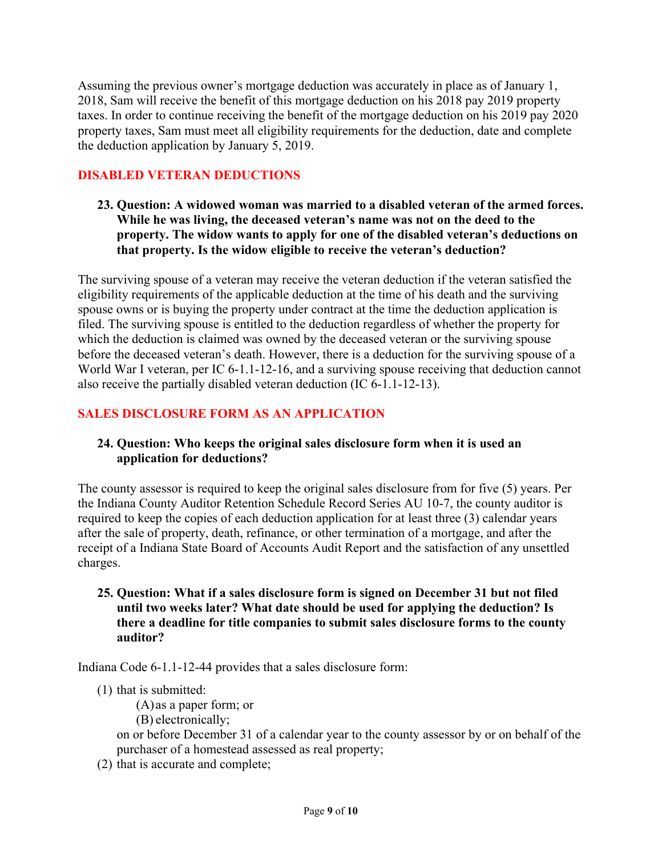Assuming the previous owner's mortgage deduction was accurately in place as of January 1, 2018, Sam will receive the benefit of this mortgage deduction on his 2018 pay 2019 property taxes. In order to continue receiving the benefit of the mortgage deduction on his 2019 pay 2020 property taxes, Sam must meet all eligibility requirements for the deduction, date and complete the deduction application by January 5, 2019.

## **DISABLED VETERAN DEDUCTIONS**

**23. Question: A widowed woman was married to a disabled veteran of the armed forces. While he was living, the deceased veteran's name was not on the deed to the property. The widow wants to apply for one of the disabled veteran's deductions on that property. Is the widow eligible to receive the veteran's deduction?**

The surviving spouse of a veteran may receive the veteran deduction if the veteran satisfied the eligibility requirements of the applicable deduction at the time of his death and the surviving spouse owns or is buying the property under contract at the time the deduction application is filed. The surviving spouse is entitled to the deduction regardless of whether the property for which the deduction is claimed was owned by the deceased veteran or the surviving spouse before the deceased veteran's death. However, there is a deduction for the surviving spouse of a World War I veteran, per IC 6-1.1-12-16, and a surviving spouse receiving that deduction cannot also receive the partially disabled veteran deduction (IC 6-1.1-12-13).

## **SALES DISCLOSURE FORM AS AN APPLICATION**

#### **24. Question: Who keeps the original sales disclosure form when it is used an application for deductions?**

The county assessor is required to keep the original sales disclosure from for five (5) years. Per the Indiana County Auditor Retention Schedule Record Series AU 10-7, the county auditor is required to keep the copies of each deduction application for at least three (3) calendar years after the sale of property, death, refinance, or other termination of a mortgage, and after the receipt of a Indiana State Board of Accounts Audit Report and the satisfaction of any unsettled charges.

#### **25. Question: What if a sales disclosure form is signed on December 31 but not filed until two weeks later? What date should be used for applying the deduction? Is there a deadline for title companies to submit sales disclosure forms to the county auditor?**

Indiana Code 6-1.1-12-44 provides that a sales disclosure form:

- (1) that is submitted:
	- (A) as a paper form; or
	- (B) electronically;

on or before December 31 of a calendar year to the county assessor by or on behalf of the purchaser of a homestead assessed as real property;

(2) that is accurate and complete;